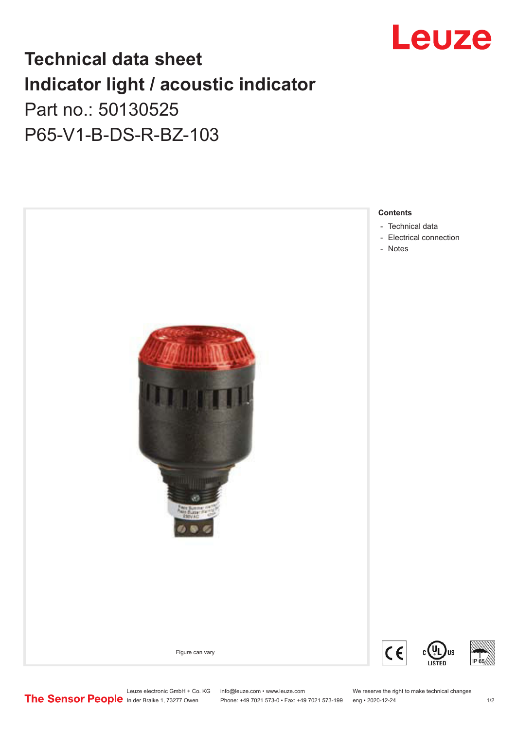

## **Technical data sheet Indicator light / acoustic indicator** Part no.: 50130525 P65-V1-B-DS-R-BZ-103



Leuze electronic GmbH + Co. KG info@leuze.com • www.leuze.com We reserve the right to make technical changes<br>
The Sensor People in der Braike 1, 73277 Owen Phone: +49 7021 573-0 • Fax: +49 7021 573-199 eng • 2020-12-24